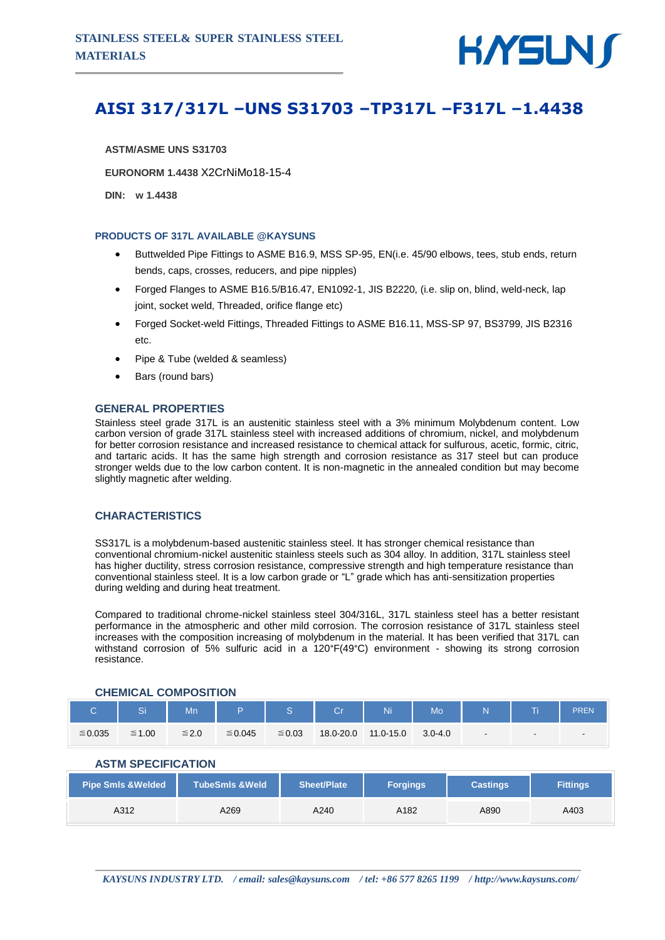

# **AISI 317/317L –UNS S31703 –TP317L –F317L –1.4438**

**ASTM/ASME UNS S31703**

**EURONORM 1.4438** X2CrNiMo18-15-4

**DIN: w 1.4438**

#### **PRODUCTS OF 317L AVAILABLE @KAYSUNS**

- Buttwelded Pipe Fittings to ASME B16.9, MSS SP-95, EN(i.e. 45/90 elbows, tees, stub ends, return bends, caps, crosses, reducers, and pipe nipples)
- Forged Flanges to ASME B16.5/B16.47, EN1092-1, JIS B2220, (i.e. slip on, blind, weld-neck, lap joint, socket weld, Threaded, orifice flange etc)
- Forged Socket-weld Fittings, Threaded Fittings to ASME B16.11, MSS-SP 97, BS3799, JIS B2316 etc.
- Pipe & Tube (welded & seamless)
- Bars (round bars)

#### **GENERAL PROPERTIES**

Stainless steel grade 317L is an austenitic stainless steel with a 3% minimum Molybdenum content. Low carbon version of grade 317L stainless steel with increased additions of chromium, nickel, and molybdenum for better corrosion resistance and increased resistance to chemical attack for sulfurous, acetic, formic, citric, and tartaric acids. It has the same high strength and corrosion resistance as 317 steel but can produce stronger welds due to the low carbon content. It is non-magnetic in the annealed condition but may become slightly magnetic after welding.

### **CHARACTERISTICS**

SS317L is a molybdenum-based austenitic stainless steel. It has stronger chemical resistance than conventional chromium-nickel austenitic stainless steels such as 304 alloy. In addition, 317L stainless steel has higher ductility, stress corrosion resistance, compressive strength and high temperature resistance than conventional stainless steel. It is a low carbon grade or "L" grade which has anti-sensitization properties during welding and during heat treatment.

Compared to traditional chrome-nickel stainless steel 304/316L, 317L stainless steel has a better resistant performance in the atmospheric and other mild corrosion. The corrosion resistance of 317L stainless steel increases with the composition increasing of molybdenum in the material. It has been verified that 317L can withstand corrosion of 5% sulfuric acid in a 120°F(49°C) environment - showing its strong corrosion resistance.

|           | C.          | Mn         |              |        | Cr        | Ni        | Mo <sup>1</sup> | N |        | PREN                     |
|-----------|-------------|------------|--------------|--------|-----------|-----------|-----------------|---|--------|--------------------------|
| $≤ 0.035$ | $\leq 1.00$ | $\leq 2.0$ | $\leq 0.045$ | ≤ 0.03 | 18.0-20.0 | 11.0-15.0 | $3.0 - 4.0$     |   | $\sim$ | $\overline{\phantom{a}}$ |

### **CHEMICAL COMPOSITION**

## **ASTM SPECIFICATION**

| <b>Pipe Smls &amp; Welded</b> | <b>TubeSmIs &amp; Weld</b> | Sheet/Plate | <b>Forgings</b> | <b>Castings</b> | <b>Fittings</b> |  |
|-------------------------------|----------------------------|-------------|-----------------|-----------------|-----------------|--|
| A312                          | A269                       | A240        | A182            | A890            | A403            |  |